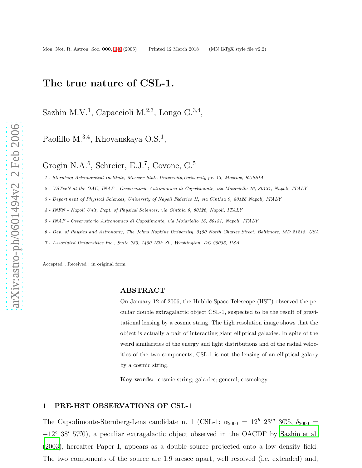## The true nature of CSL-1.

Sazhin M.V.<sup>1</sup>, Capaccioli M.<sup>2,3</sup>, Longo G.<sup>3,4</sup>,

Paolillo M.<sup>3,4</sup>, Khovanskaya O.S.<sup>1</sup>,

Grogin N.A.<sup>6</sup>, Schreier, E.J.<sup>7</sup>, Covone, G.<sup>5</sup>

1 - Sternberg Astronomical Institute, Moscow State University,University pr. 13, Moscow, RUSSIA

2 - VSTceN at the OAC, INAF - Osservatorio Astronomico di Capodimonte, via Moiariello 16, 80131, Napoli, ITALY

3 - Department of Physical Sciences, University of Napoli Federico II, via Cinthia 9, 80126 Napoli, ITALY

4 - INFN - Napoli Unit, Dept. of Physical Sciences, via Cinthia 9, 80126, Napoli, ITALY

5 - INAF - Osservatorio Astronomico di Capodimonte, via Moiariello 16, 80131, Napoli, ITALY

6 - Dep. of Physics and Astronomy, The Johns Hopkins University, 3400 North Charles Street, Baltimore, MD 21218, USA

7 - Associated Universities Inc., Suite 730, 1400 16th St., Washington, DC 20036, USA

Accepted ; Received ; in original form

#### ABSTRACT

On January 12 of 2006, the Hubble Space Telescope (HST) observed the peculiar double extragalactic object CSL-1, suspected to be the result of gravitational lensing by a cosmic string. The high resolution image shows that the object is actually a pair of interacting giant elliptical galaxies. In spite of the weird similarities of the energy and light distributions and of the radial velocities of the two components, CSL-1 is not the lensing of an elliptical galaxy by a cosmic string.

Key words: cosmic string; galaxies; general; cosmology.

#### <span id="page-0-0"></span>1 PRE-HST OBSERVATIONS OF CSL-1

The Capodimonte-Sternberg-Lens candidate n. 1 (CSL-1;  $\alpha_{2000} = 12^h$   $23^m$   $30^s$ .5,  $\delta_{2000}$  = −12 ◦ 38 ′ 57. ′′0), a peculiar extragalactic object observed in the OACDF by [Sazhin](#page-4-1) et al. [\(2003\)](#page-4-1), hereafter Paper I, appears as a double source projected onto a low density field. The two components of the source are 1.9 arcsec apart, well resolved (i.e. extended) and,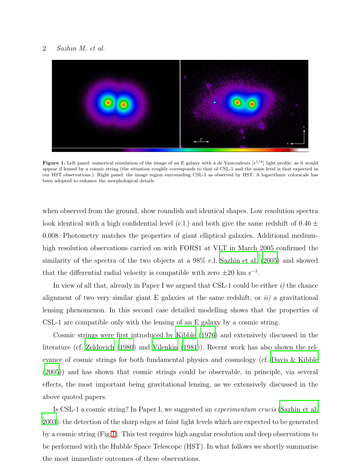#### 2 Sazhin M. et al.



<span id="page-1-0"></span>**Figure 1.** Left panel: numerical simulation of the image of an E galaxy with a de Vaucouleurs  $[r^{1/4}]$  light profile, as it would appear if lensed by a cosmic string (the situation roughly corresponds to that of CSL-1 and the noise level is that expected in our HST observations.). Right panel: the image region surrounding CSL-1 as observed by HST. A logarithmic colorscale has been adopted to enhance the morphological details.

when observed from the ground, show roundish and identical shapes. Low resolution spectra look identical with a high confidential level (c.l.) and both give the same redshift of  $0.46 \pm$ 0.008. Photometry matches the properties of giant elliptical galaxies. Additional mediumhigh resolution observations carried on with FORS1 at VLT in March 2005 confirmed the similarity of the spectra of the two objects at a 98% c.l. [Sazhin et al. \(2005\)](#page-4-2) and showed that the differential radial velocity is compatible with zero  $\pm 20$  km s<sup>-1</sup>.

In view of all that, already in Paper I we argued that CSL-1 could be either  $i$ ) the chance alignment of two very similar giant E galaxies at the same redshift, or  $ii$ ) a gravitational lensing phenomenon. In this second case detailed modelling shows that the properties of CSL-1 are compatible only with the lensing of an E galaxy by a cosmic string.

Cosmic strings were first introduced by [Kibble \(1976\)](#page-4-3) and extensively discussed in the literature (cf. [Zeldovich \(1980\)](#page-5-0) and [Vilenkin \(1981\)](#page-4-4)). Recent work has also shown the relevance of cosmic strings for both fundamental physics and cosmology (cf. [Davis & Kibble](#page-4-5) [\(2005\)](#page-4-5)) and has shown that cosmic strings could be observable, in principle, via several effects, the most important being gravitational lensing, as we extensively discussed in the above quoted papers.

Is CSL-1 a cosmic string? In Paper I, we suggested an experimentum crucis [\(Sazhin et al.](#page-4-1) [2003\)](#page-4-1): the detection of the sharp edges at faint light levels which are expected to be generated by a cosmic string (Fig[.1\)](#page-1-0). This test requires high angular resolution and deep observations to be performed with the Hubble Space Telescope (HST). In what follows we shortly summarise the most immediate outcomes of these observations.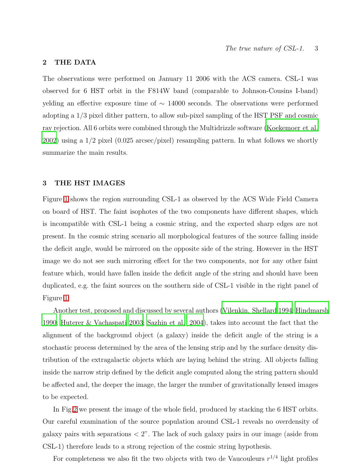## 2 THE DATA

The observations were performed on January 11 2006 with the ACS camera. CSL-1 was observed for 6 HST orbit in the F814W band (comparable to Johnson-Cousins I-band) yelding an effective exposure time of  $\sim$  14000 seconds. The observations were performed adopting a 1/3 pixel dither pattern, to allow sub-pixel sampling of the HST PSF and cosmic ray rejection. All 6 orbits were combined through the Multidrizzle software [\(Koekemoer et al.](#page-4-6) [2002\)](#page-4-6) using a 1/2 pixel (0.025 arcsec/pixel) resampling pattern. In what follows we shortly summarize the main results.

## 3 THE HST IMAGES

Figure [1](#page-0-0) shows the region surrounding CSL-1 as observed by the ACS Wide Field Camera on board of HST. The faint isophotes of the two components have different shapes, which is incompatible with CSL-1 being a cosmic string, and the expected sharp edges are not present. In the cosmic string scenario all morphological features of the source falling inside the deficit angle, would be mirrored on the opposite side of the string. However in the HST image we do not see such mirroring effect for the two components, nor for any other faint feature which, would have fallen inside the deficit angle of the string and should have been duplicated, e.g. the faint sources on the southern side of CSL-1 visible in the right panel of Figure [1.](#page-0-0)

Another test, proposed and discussed by several authors [\(Vilenkin, Shellard 1994](#page-5-1); [Hindmarsh](#page-4-7) [1990;](#page-4-7) [Huterer & Vachaspati 2003;](#page-4-8) [Sazhin et al. 2004](#page-4-9)), takes into account the fact that the alignment of the background object (a galaxy) inside the deficit angle of the string is a stochastic process determined by the area of the lensing strip and by the surface density distribution of the extragalactic objects which are laying behind the string. All objects falling inside the narrow strip defined by the deficit angle computed along the string pattern should be affected and, the deeper the image, the larger the number of gravitationally lensed images to be expected.

In Fig[.2](#page-3-0) we present the image of the whole field, produced by stacking the 6 HST orbits. Our careful examination of the source population around CSL-1 reveals no overdensity of galaxy pairs with separations  $\langle 2^n \rangle$ . The lack of such galaxy pairs in our image (aside from CSL-1) therefore leads to a strong rejection of the cosmic string hypothesis.

For completeness we also fit the two objects with two de Vaucouleurs  $r^{1/4}$  light profiles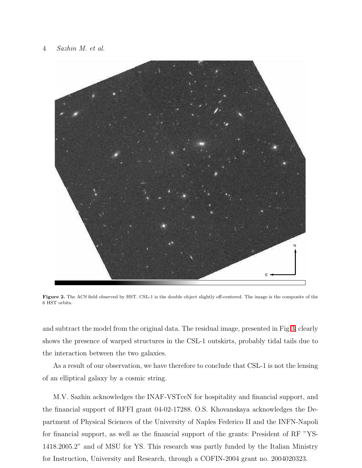

Figure 2. The ACS field observed by HST. CSL-1 is the double object slightly off-centered. The image is the composite of the 6 HST orbits.

<span id="page-3-0"></span>and subtract the model from the original data. The residual image, presented in Fig[.3,](#page-4-10) clearly shows the presence of warped structures in the CSL-1 outskirts, probably tidal tails due to the interaction between the two galaxies.

As a result of our observation, we have therefore to conclude that CSL-1 is not the lensing of an elliptical galaxy by a cosmic string.

M.V. Sazhin acknowledges the INAF-VSTceN for hospitality and financial support, and the financial support of RFFI grant 04-02-17288. O.S. Khovanskaya acknowledges the Department of Physical Sciences of the University of Naples Federico II and the INFN-Napoli for financial support, as well as the financial support of the grants: President of RF "YS-1418.2005.2" and of MSU for YS. This research was partly funded by the Italian Ministry for Instruction, University and Research, through a COFIN-2004 grant no. 2004020323.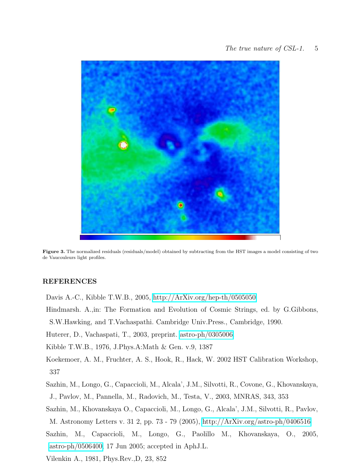

Figure 3. The normalized residuals (residuals/model) obtained by subtracting from the HST images a model consisting of two de Vaucouleurs light profiles.

## <span id="page-4-10"></span><span id="page-4-5"></span><span id="page-4-0"></span>REFERENCES

- Davis A.-C., Kibble T.W.B., 2005,<http://ArXiv.org/hep-th/0505050>
- <span id="page-4-7"></span>Hindmarsh. A.,in: The Formation and Evolution of Cosmic Strings, ed. by G.Gibbons, S.W.Hawking, and T.Vachaspathi. Cambridge Univ.Press., Cambridge, 1990.

<span id="page-4-8"></span>Huterer, D., Vachaspati, T., 2003, preprint. [astro-ph/0305006.](http://arxiv.org/abs/astro-ph/0305006)

<span id="page-4-3"></span>Kibble T.W.B., 1976, J.Phys.A:Math & Gen. v.9, 1387

<span id="page-4-6"></span>Koekemoer, A. M., Fruchter, A. S., Hook, R., Hack, W. 2002 HST Calibration Workshop, 337

<span id="page-4-1"></span>Sazhin, M., Longo, G., Capaccioli, M., Alcala', J.M., Silvotti, R., Covone, G., Khovanskaya, J., Pavlov, M., Pannella, M., Radovich, M., Testa, V., 2003, MNRAS, 343, 353

<span id="page-4-9"></span>Sazhin, M., Khovanskaya O., Capaccioli, M., Longo, G., Alcala', J.M., Silvotti, R., Pavlov,

M. Astronomy Letters v. 31 2, pp. 73 - 79 (2005),<http://ArXiv.org/astro-ph/0406516>

- <span id="page-4-2"></span>Sazhin, M., Capaccioli, M., Longo, G., Paolillo M., Khovanskaya, O., 2005, [astro-ph/0506400,](http://arxiv.org/abs/astro-ph/0506400) 17 Jun 2005; accepted in AphJ.L.
- <span id="page-4-4"></span>Vilenkin A., 1981, Phys.Rev.,D, 23, 852